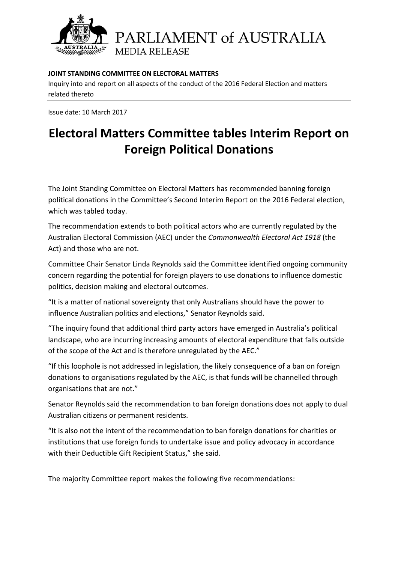

PARLIAMENT of AUSTRALIA **MEDIA RELEASE** 

### **JOINT STANDING COMMITTEE ON ELECTORAL MATTERS**

Inquiry into and report on all aspects of the conduct of the 2016 Federal Election and matters related thereto

Issue date: 10 March 2017

# **Electoral Matters Committee tables Interim Report on Foreign Political Donations**

The Joint Standing Committee on Electoral Matters has recommended banning foreign political donations in the Committee's Second Interim Report on the 2016 Federal election, which was tabled today.

The recommendation extends to both political actors who are currently regulated by the Australian Electoral Commission (AEC) under the *Commonwealth Electoral Act 1918* (the Act) and those who are not.

Committee Chair Senator Linda Reynolds said the Committee identified ongoing community concern regarding the potential for foreign players to use donations to influence domestic politics, decision making and electoral outcomes.

"It is a matter of national sovereignty that only Australians should have the power to influence Australian politics and elections," Senator Reynolds said.

"The inquiry found that additional third party actors have emerged in Australia's political landscape, who are incurring increasing amounts of electoral expenditure that falls outside of the scope of the Act and is therefore unregulated by the AEC."

"If this loophole is not addressed in legislation, the likely consequence of a ban on foreign donations to organisations regulated by the AEC, is that funds will be channelled through organisations that are not."

Senator Reynolds said the recommendation to ban foreign donations does not apply to dual Australian citizens or permanent residents.

"It is also not the intent of the recommendation to ban foreign donations for charities or institutions that use foreign funds to undertake issue and policy advocacy in accordance with their Deductible Gift Recipient Status," she said.

The majority Committee report makes the following five recommendations: